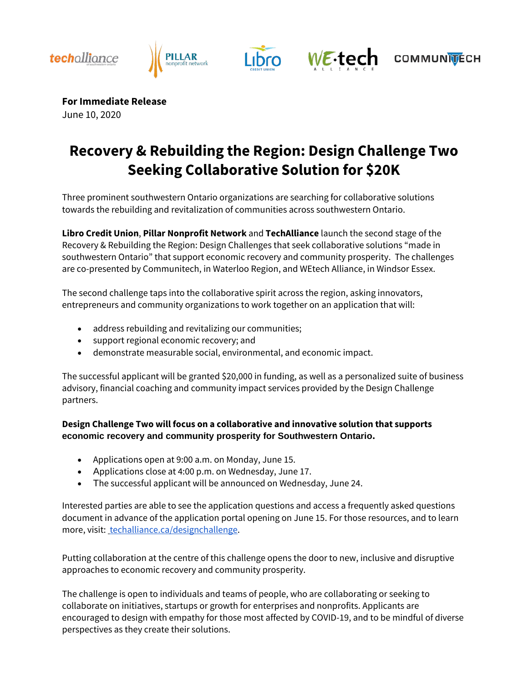





WE.tech



**For Immediate Release** 

June 10, 2020

# **Recovery & Rebuilding the Region: Design Challenge Two Seeking Collaborative Solution for \$20K**

Three prominent southwestern Ontario organizations are searching for collaborative solutions towards the rebuilding and revitalization of communities across southwestern Ontario.

**Libro Credit Union**, **Pillar Nonprofit Network** and **TechAlliance** launch the second stage of the Recovery & Rebuilding the Region: Design Challenges that seek collaborative solutions "made in southwestern Ontario" that support economic recovery and community prosperity. The challenges are co-presented by Communitech, in Waterloo Region, and WEtech Alliance, in Windsor Essex.

The second challenge taps into the collaborative spirit across the region, asking innovators, entrepreneurs and community organizations to work together on an application that will:

- address rebuilding and revitalizing our communities;
- support regional economic recovery; and
- demonstrate measurable social, environmental, and economic impact.

The successful applicant will be granted \$20,000 in funding, as well as a personalized suite of business advisory, financial coaching and community impact services provided by the Design Challenge partners.

**Design Challenge Two will focus on a collaborative and innovative solution that supports economic recovery and community prosperity for Southwestern Ontario.**

- Applications open at 9:00 a.m. on Monday, June 15.
- Applications close at 4:00 p.m. on Wednesday, June 17.
- The successful applicant will be announced on Wednesday, June 24.

Interested parties are able to see the application questions and access a frequently asked questions document in advance of the application portal opening on June 15. For those resources, and to learn more, visit: [techalliance.ca/designchallenge.](https://techalliance.ca/designchallenge/)

Putting collaboration at the centre of this challenge opens the door to new, inclusive and disruptive approaches to economic recovery and community prosperity.

The challenge is open to individuals and teams of people, who are collaborating or seeking to collaborate on initiatives, startups or growth for enterprises and nonprofits. Applicants are encouraged to design with empathy for those most affected by COVID-19, and to be mindful of diverse perspectives as they create their solutions.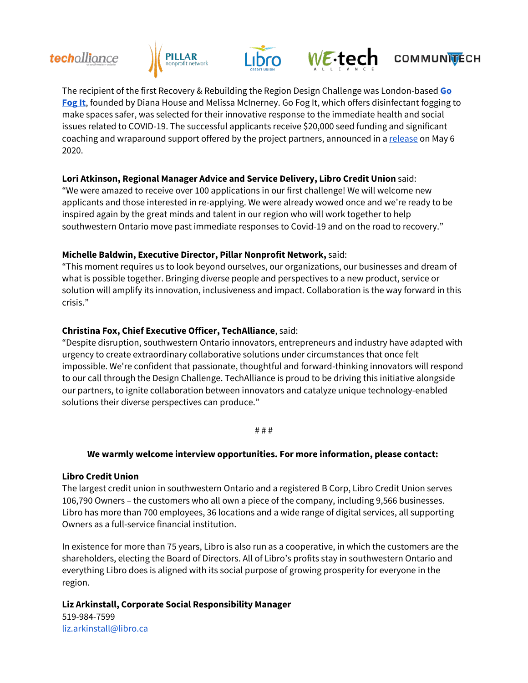### techalliance







## **COMMUNITECH**

The recipient of the first Recovery & Rebuilding the Region Design Challenge was London-based **Go [Fog It](https://www.gofogit.com/)**, founded by Diana House and Melissa McInerney. Go Fog It, which offers disinfectant fog[ging to](https://www.gofogit.com/)  make spaces safer, was selected for their innovative response to the immediate health and social issues related to COVID-19. The successful applicants receive \$20,000 seed funding and significant coaching and wraparound support offered by the project partners, announced in [a release](https://www.libro.ca/about/media-centre/recipient-announced-recovery-rebuilding-region-design-challenge-one) on May 6 2020.

### **Lori Atkinson, Regional Manager Advice and Service Delivery, Libro Credit Union** said:

"We were amazed to receive over 100 applications in our first challenge! We will welcome new applicants and those interested in re-applying. We were already wowed once and we're ready to be inspired again by the great minds and talent in our region who will work together to help southwestern Ontario move past immediate responses to Covid-19 and on the road to recovery."

#### **Michelle Baldwin, Executive Director, Pillar Nonprofit Network,** said:

"This moment requires us to look beyond ourselves, our organizations, our businesses and dream of what is possible together. Bringing diverse people and perspectives to a new product, service or solution will amplify its innovation, inclusiveness and impact. Collaboration is the way forward in this crisis."

### **Christina Fox, Chief Executive Officer, TechAlliance**, said:

"Despite disruption, southwestern Ontario innovators, entrepreneurs and industry have adapted with urgency to create extraordinary collaborative solutions under circumstances that once felt impossible. We're confident that passionate, thoughtful and forward-thinking innovators will respond to our call through the Design Challenge. TechAlliance is proud to be driving this initiative alongside our partners, to ignite collaboration between innovators and catalyze unique technology-enabled solutions their diverse perspectives can produce."

# # #

#### **We warmly welcome interview opportunities. For more information, please contact:**

#### **Libro Credit Union**

The largest credit union in southwestern Ontario and a registered B Corp, Libro Credit Union serves 106,790 Owners – the customers who all own a piece of the company, including 9,566 businesses. Libro has more than 700 employees, 36 locations and a wide range of digital services, all supporting Owners as a full-service financial institution.

In existence for more than 75 years, Libro is also run as a cooperative, in which the customers are the shareholders, electing the Board of Directors. All of Libro's profits stay in southwestern Ontario and everything Libro does is aligned with its social purpose of growing prosperity for everyone in the region.

**Liz Arkinstall, Corporate Social Responsibility Manager** 519-984-7599 liz.arkinstall@libro.ca